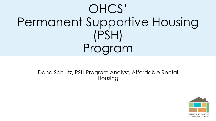# OHCS' Permanent Supportive Housing (PSH) Program

Dana Schultz, PSH Program Analyst, Affordable Rental Housing

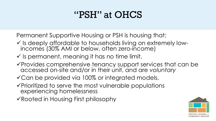#### "PSH" at OHCS

Permanent Supportive Housing or PSH is housing that:

- ✓ Is deeply affordable to households living on extremely lowincomes (30% AMI or below, often zero-income)
- $\checkmark$  is permanent, meaning it has no time limit.
- ✓Provides comprehensive tenancy support services that can be accessed on-site and/or in their unit, and are voluntary
- ✓Can be provided via 100% or integrated models.
- ✓Prioritized to serve the most vulnerable populations experiencing homelessness
- ✓Rooted in Housing First philosophy

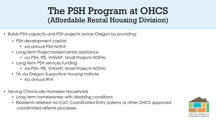#### The PSH Program at OHCS (Affordable Rental Housing Division)

- Builds PSH capacity and PSH projects across Oregon by providing:
	- PSH development capital
		- via annual PSH NOFA
	- Long-term Project-based rental assistance
		- via PSH, 9%, VHGAP, Small Projects NOFAs
	- Long-term PSH services funding
		- via PSH, 9%, VHGAP, Small Projects NOFAs
	- TA via Oregon Supportive Housing Institute
		- via annual RFA
- Serving Chronically Homeless Households
	- Long term homelessness with disabling conditions
	- Residents referred via CoC Coordinated Entry systems or other OHCS approved coordinated referral processes

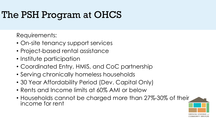#### The PSH Program at OHCS

Requirements:

- On-site tenancy support services
- Project-based rental assistance
- Institute participation
- Coordinated Entry, HMIS, and CoC partnership
- Serving chronically homeless households
- 30 Year Affordability Period (Dev. Capital Only)
- Rents and Income limits at 60% AMI or below
- Households cannot be charged more than 27%-30% of their income for rent

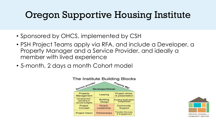#### Oregon Supportive Housing Institute

- Sponsored by OHCS, implemented by CSH
- PSH Project Teams apply via RFA, and include a Developer, a Property Manager and a Service Provider, and ideally a member with lived experience
- 5-month, 2 days a month Cohort model



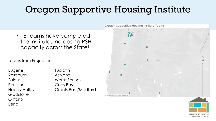## Oregon Supportive Housing Institute

• 18 teams have completed the Institute, increasing PSH capacity across the State!

Teams from Projects in:

| Eugene              |
|---------------------|
| Roseburg            |
| Salem               |
| Portland            |
| <b>Happy Valley</b> |
| Gladstone           |
| Ontario             |
| Bend                |

**Tualatin** Ashland Warm Springs Coos Bay Grants Pass/Medford



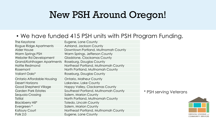#### New PSH Around Oregon!

#### • We have funded 415 PSH units with PSH Program Funding.

| The Keystone                      | Eugene, Lane County                  |  |
|-----------------------------------|--------------------------------------|--|
| Rogue Ridge Apartments            | Ashland, Jackson County              |  |
| <b>Alder House</b>                | Downtown Portland, Multnomah County  |  |
| Warm Springs PSH                  | Warm Springs, Jefferson County       |  |
| Webster Rd Development            | Gladstone, Clackamas County          |  |
| Grand/Kohlhagen Apartments        | Roseburg, Douglas County             |  |
| <b>Hattie Redmond</b>             | Northeast Portland, Multnomah County |  |
| Rosemont                          | North Portland, Multnomah County     |  |
| Valiant Oaks*                     | Roseburg, Douglas County             |  |
| <b>Ontario Affordable Housing</b> | Ontario, Malheur County              |  |
| <b>Desert Horizons</b>            | Lakeview, Lake County                |  |
| <b>Good Shepherd Village</b>      | Happy Valley, Clackamas County       |  |
| <b>Garden Park Estates</b>        | Southeast Portland, Multnomah County |  |
| Sequoia Crossing                  | Salem, Marion County                 |  |
| Tistilal                          | North Portland, Multnomah County     |  |
| <b>Blackberry Hill*</b>           | <b>Toledo, Lincoln County</b>        |  |
| Evergreen <sup>*</sup>            | Salem, Marion County                 |  |
| <b>Kafoury Court</b>              | Northeast Portland, Multnomah County |  |
| <b>Polk 2.0</b>                   | Eugene, Lane County                  |  |
|                                   |                                      |  |

#### \* PSH serving Veterans